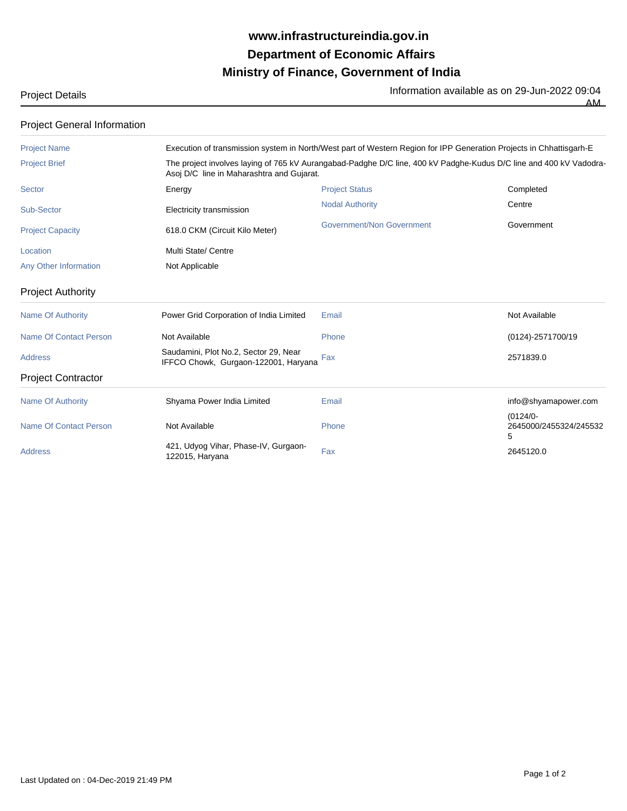## **Ministry of Finance, Government of India Department of Economic Affairs www.infrastructureindia.gov.in**

Project Details **Information available as on 29-Jun-2022 09:04** 

AM

| The project involves laying of 765 kV Aurangabad-Padghe D/C line, 400 kV Padghe-Kudus D/C line and 400 kV Vadodra-<br>Asoj D/C line in Maharashtra and Gujarat. |                           |                                                                                                                     |  |
|-----------------------------------------------------------------------------------------------------------------------------------------------------------------|---------------------------|---------------------------------------------------------------------------------------------------------------------|--|
| Energy                                                                                                                                                          | <b>Project Status</b>     | Completed                                                                                                           |  |
| Electricity transmission                                                                                                                                        | <b>Nodal Authority</b>    | Centre                                                                                                              |  |
| 618.0 CKM (Circuit Kilo Meter)                                                                                                                                  | Government/Non Government | Government                                                                                                          |  |
| Multi State/ Centre                                                                                                                                             |                           |                                                                                                                     |  |
| Not Applicable                                                                                                                                                  |                           |                                                                                                                     |  |
|                                                                                                                                                                 |                           |                                                                                                                     |  |
| Power Grid Corporation of India Limited                                                                                                                         | Email                     | Not Available                                                                                                       |  |
| Not Available                                                                                                                                                   | Phone                     | (0124)-2571700/19                                                                                                   |  |
| Saudamini, Plot No.2, Sector 29, Near<br>IFFCO Chowk, Gurgaon-122001, Haryana                                                                                   | Fax                       | 2571839.0                                                                                                           |  |
|                                                                                                                                                                 |                           |                                                                                                                     |  |
| Shyama Power India Limited                                                                                                                                      | Email                     | info@shyamapower.com                                                                                                |  |
| Not Available                                                                                                                                                   | Phone                     | $(0124/0 -$<br>2645000/2455324/245532<br>5                                                                          |  |
| 421, Udyog Vihar, Phase-IV, Gurgaon-<br>122015, Haryana                                                                                                         | Fax                       | 2645120.0                                                                                                           |  |
|                                                                                                                                                                 |                           | Execution of transmission system in North/West part of Western Region for IPP Generation Projects in Chhattisgarh-E |  |